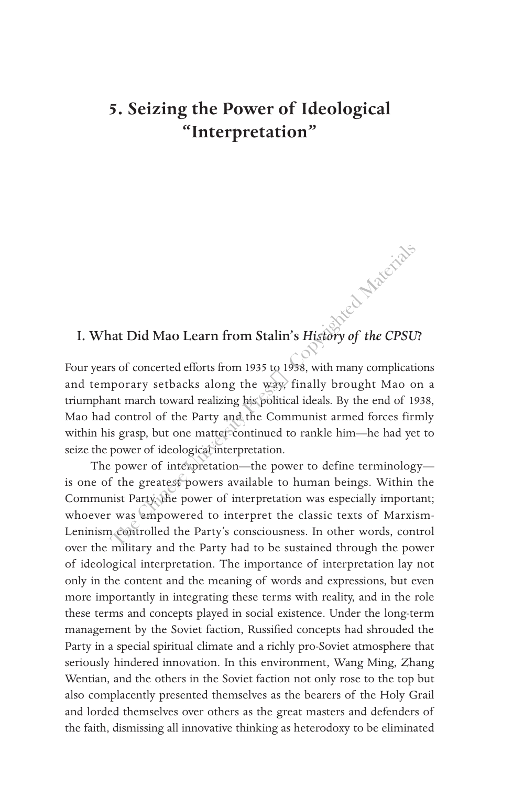## **5. Seizing the Power of Ideological "Interpretation"**

## I. What Did Mao Learn from Stalin's *History of the CPSU*?

Four years of concerted efforts from 1935 to 1938, with many complications and temporary setbacks along the way, finally brought Mao on a triumphant march toward realizing his political ideals. By the end of 1938, Mao had control of the Party and the Communist armed forces firmly within his grasp, but one matter continued to rankle him—he had yet to seize the power of ideological interpretation. at Did Mao Learn from Stalin's History of the CPSU<br>sof concerted efforts from 1935 to 1938, with many complication<br>porary setbacks along the way, finally brought Mao of<br>nt march toward realizing hispolitical ideals. By th

The power of interpretation—the power to define terminology is one of the greatest powers available to human beings. Within the Communist Party, the power of interpretation was especially important; whoever was empowered to interpret the classic texts of Marxism-Leninism controlled the Party's consciousness. In other words, control over the military and the Party had to be sustained through the power of ideological interpretation. The importance of interpretation lay not only in the content and the meaning of words and expressions, but even more importantly in integrating these terms with reality, and in the role these terms and concepts played in social existence. Under the long-term management by the Soviet faction, Russified concepts had shrouded the Party in a special spiritual climate and a richly pro-Soviet atmosphere that seriously hindered innovation. In this environment, Wang Ming, Zhang Wentian, and the others in the Soviet faction not only rose to the top but also complacently presented themselves as the bearers of the Holy Grail and lorded themselves over others as the great masters and defenders of the faith, dismissing all innovative thinking as heterodoxy to be eliminated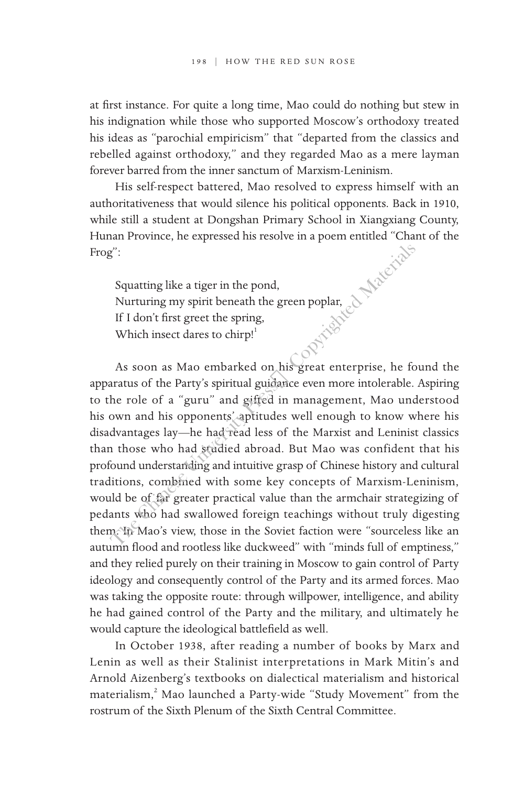at first instance. For quite a long time, Mao could do nothing but stew in his indignation while those who supported Moscow's orthodoxy treated his ideas as "parochial empiricism" that "departed from the classics and rebelled against orthodoxy," and they regarded Mao as a mere layman forever barred from the inner sanctum of Marxism-Leninism.

His self-respect battered, Mao resolved to express himself with an authoritativeness that would silence his political opponents. Back in 1910, while still a student at Dongshan Primary School in Xiangxiang County, Hunan Province, he expressed his resolve in a poem entitled "Chant of the Frog":

Squatting like a tiger in the pond, Nurturing my spirit beneath the green poplar, If I don't first greet the spring, Which insect dares to chirp!<sup>1</sup>

As soon as Mao embarked on his great enterprise, he found the apparatus of the Party's spiritual guidance even more intolerable. Aspiring to the role of a "guru" and gifted in management, Mao understood his own and his opponents' aptitudes well enough to know where his disadvantages lay—he had read less of the Marxist and Leninist classics than those who had studied abroad. But Mao was confident that his profound understanding and intuitive grasp of Chinese history and cultural traditions, combined with some key concepts of Marxism-Leninism, would be of far greater practical value than the armchair strategizing of pedants who had swallowed foreign teachings without truly digesting them. In Mao's view, those in the Soviet faction were "sourceless like an autumn flood and rootless like duckweed" with "minds full of emptiness," and they relied purely on their training in Moscow to gain control of Party ideology and consequently control of the Party and its armed forces. Mao was taking the opposite route: through willpower, intelligence, and ability he had gained control of the Party and the military, and ultimately he would capture the ideological battlefield as well. Squatting like a tiger in the pond,<br>
Nurturing my spirit beneath the green poplar,<br>
If I don't first greet the spring,<br>
Which insect dares to chirp!<br>
As soon as Mao embarked on his great enterprise, he for<br>
aratus of the

In October 1938, after reading a number of books by Marx and Lenin as well as their Stalinist interpretations in Mark Mitin's and Arnold Aizenberg's textbooks on dialectical materialism and historical materialism,<sup>2</sup> Mao launched a Party-wide "Study Movement" from the rostrum of the Sixth Plenum of the Sixth Central Committee.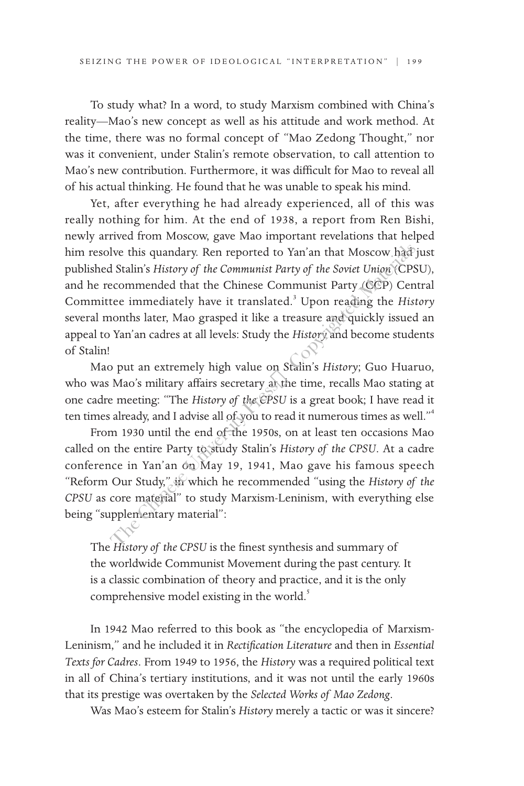To study what? In a word, to study Marxism combined with China's reality—Mao's new concept as well as his attitude and work method. At the time, there was no formal concept of "Mao Zedong Thought," nor was it convenient, under Stalin's remote observation, to call attention to Mao's new contribution. Furthermore, it was difficult for Mao to reveal all of his actual thinking. He found that he was unable to speak his mind.

Yet, after everything he had already experienced, all of this was really nothing for him. At the end of 1938, a report from Ren Bishi, newly arrived from Moscow, gave Mao important revelations that helped him resolve this quandary. Ren reported to Yan'an that Moscow had just published Stalin's *History of the Communist Party of the Soviet Union* (CPSU), and he recommended that the Chinese Communist Party (CCP) Central Committee immediately have it translated.<sup>3</sup> Upon reading the History several months later, Mao grasped it like a treasure and quickly issued an appeal to Yan'an cadres at all levels: Study the *History* and become students of Stalin! Ive this quandary. Ren reported to Yan'an that Moscow had<br>
I Stalin's *History of the Communist Party of the Soviet Union*<br>
CCPS<br>
ecommended that the Chinese Communist Party (CCP) Cen<br>
tee immediately have it translated.<sup>3</sup>

Mao put an extremely high value on Stalin's *History*; Guo Huaruo, who was Mao's military affairs secretary at the time, recalls Mao stating at one cadre meeting: "The *History of the CPSU* is a great book; I have read it ten times already, and I advise all of you to read it numerous times as well."4

From 1930 until the end of the 1950s, on at least ten occasions Mao called on the entire Party to study Stalin's *History of the CPSU*. At a cadre conference in Yan'an on May 19, 1941, Mao gave his famous speech "Reform Our Study," in which he recommended "using the *History of the CPSU* as core material" to study Marxism-Leninism, with everything else being "supplementary material":

The *History of the CPSU* is the finest synthesis and summary of the worldwide Communist Movement during the past century. It is a classic combination of theory and practice, and it is the only comprehensive model existing in the world.<sup>5</sup>

In 1942 Mao referred to this book as "the encyclopedia of Marxism-Leninism," and he included it in *Rectification Literature* and then in *Essential Texts for Cadres*. From 1949 to 1956, the *History* was a required political text in all of China's tertiary institutions, and it was not until the early 1960s that its prestige was overtaken by the *Selected Works of Mao Zedong*.

Was Mao's esteem for Stalin's *History* merely a tactic or was it sincere?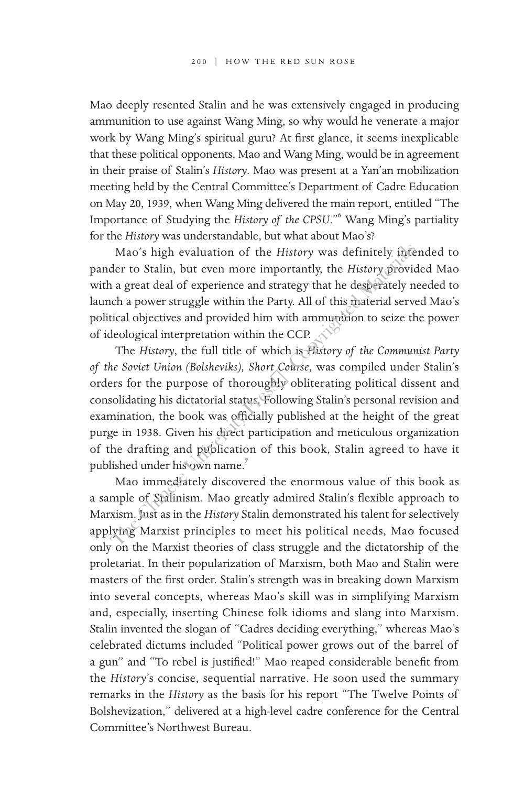Mao deeply resented Stalin and he was extensively engaged in producing ammunition to use against Wang Ming, so why would he venerate a major work by Wang Ming's spiritual guru? At first glance, it seems inexplicable that these political opponents, Mao and Wang Ming, would be in agreement in their praise of Stalin's *History*. Mao was present at a Yan'an mobilization meeting held by the Central Committee's Department of Cadre Education on May 20, 1939, when Wang Ming delivered the main report, entitled "The Importance of Studying the *History of the CPSU*."6 Wang Ming's partiality for the *History* was understandable, but what about Mao's?

Mao's high evaluation of the *History* was definitely intended to pander to Stalin, but even more importantly, the *History* provided Mao with a great deal of experience and strategy that he desperately needed to launch a power struggle within the Party. All of this material served Mao's political objectives and provided him with ammunition to seize the power of ideological interpretation within the CCP.

The *History*, the full title of which is *History of the Communist Party of the Soviet Union (Bolsheviks), Short Course*, was compiled under Stalin's orders for the purpose of thoroughly obliterating political dissent and consolidating his dictatorial status. Following Stalin's personal revision and examination, the book was officially published at the height of the great purge in 1938. Given his direct participation and meticulous organization of the drafting and publication of this book, Stalin agreed to have it published under his own name.<sup>7</sup> Mao's high evaluation of the *History* was definitely interact of Stalin, but even more importantly, the *History* provided and a great deal of experience and strategy that he desperately n ach a grower struggle within th

Mao immediately discovered the enormous value of this book as a sample of Stalinism. Mao greatly admired Stalin's flexible approach to Marxism. Just as in the *History* Stalin demonstrated his talent for selectively applying Marxist principles to meet his political needs, Mao focused only on the Marxist theories of class struggle and the dictatorship of the proletariat. In their popularization of Marxism, both Mao and Stalin were masters of the first order. Stalin's strength was in breaking down Marxism into several concepts, whereas Mao's skill was in simplifying Marxism and, especially, inserting Chinese folk idioms and slang into Marxism. Stalin invented the slogan of "Cadres deciding everything," whereas Mao's celebrated dictums included "Political power grows out of the barrel of a gun" and "To rebel is justified!" Mao reaped considerable benefit from the *History*'s concise, sequential narrative. He soon used the summary remarks in the *History* as the basis for his report "The Twelve Points of Bolshevization," delivered at a high-level cadre conference for the Central Committee's Northwest Bureau.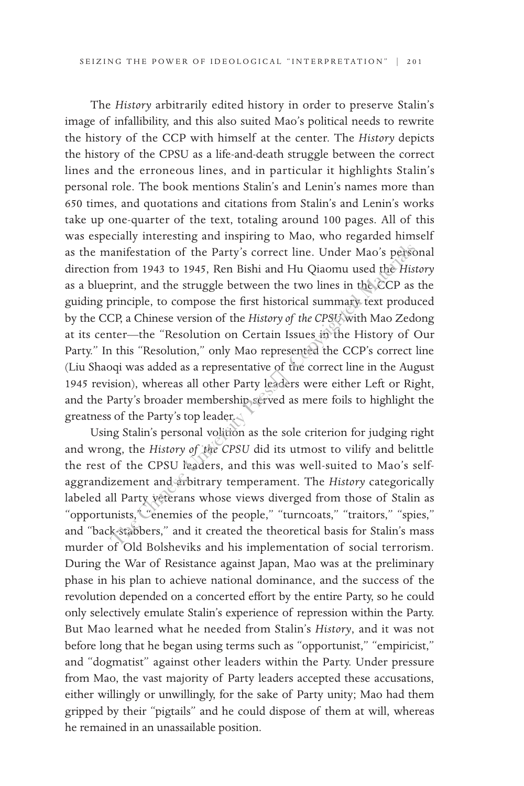The *History* arbitrarily edited history in order to preserve Stalin's image of infallibility, and this also suited Mao's political needs to rewrite the history of the CCP with himself at the center. The *History* depicts the history of the CPSU as a life-and-death struggle between the correct lines and the erroneous lines, and in particular it highlights Stalin's personal role. The book mentions Stalin's and Lenin's names more than 650 times, and quotations and citations from Stalin's and Lenin's works take up one-quarter of the text, totaling around 100 pages. All of this was especially interesting and inspiring to Mao, who regarded himself as the manifestation of the Party's correct line. Under Mao's personal direction from 1943 to 1945, Ren Bishi and Hu Qiaomu used the *History* as a blueprint, and the struggle between the two lines in the CCP as the guiding principle, to compose the first historical summary text produced by the CCP, a Chinese version of the *History of the CPSU* with Mao Zedong at its center—the "Resolution on Certain Issues in the History of Our Party." In this "Resolution," only Mao represented the CCP's correct line (Liu Shaoqi was added as a representative of the correct line in the August 1945 revision), whereas all other Party leaders were either Left or Right, and the Party's broader membership served as mere foils to highlight the greatness of the Party's top leader. anifestation of the Party's correct line. Under Mao's perso<br>from 1943 to 1945, Ren Bishi and Hu Qiaomu used the His<br>print, and the struggle between the two lines in the CCP as<br>principle, to compose the first historical su

Using Stalin's personal volition as the sole criterion for judging right and wrong, the *History of the CPSU* did its utmost to vilify and belittle the rest of the CPSU leaders, and this was well-suited to Mao's selfaggrandizement and arbitrary temperament. The *History* categorically labeled all Party veterans whose views diverged from those of Stalin as "opportunists," "enemies of the people," "turncoats," "traitors," "spies," and "back-stabbers," and it created the theoretical basis for Stalin's mass murder of Old Bolsheviks and his implementation of social terrorism. During the War of Resistance against Japan, Mao was at the preliminary phase in his plan to achieve national dominance, and the success of the revolution depended on a concerted effort by the entire Party, so he could only selectively emulate Stalin's experience of repression within the Party. But Mao learned what he needed from Stalin's *History*, and it was not before long that he began using terms such as "opportunist," "empiricist," and "dogmatist" against other leaders within the Party. Under pressure from Mao, the vast majority of Party leaders accepted these accusations, either willingly or unwillingly, for the sake of Party unity; Mao had them gripped by their "pigtails" and he could dispose of them at will, whereas he remained in an unassailable position.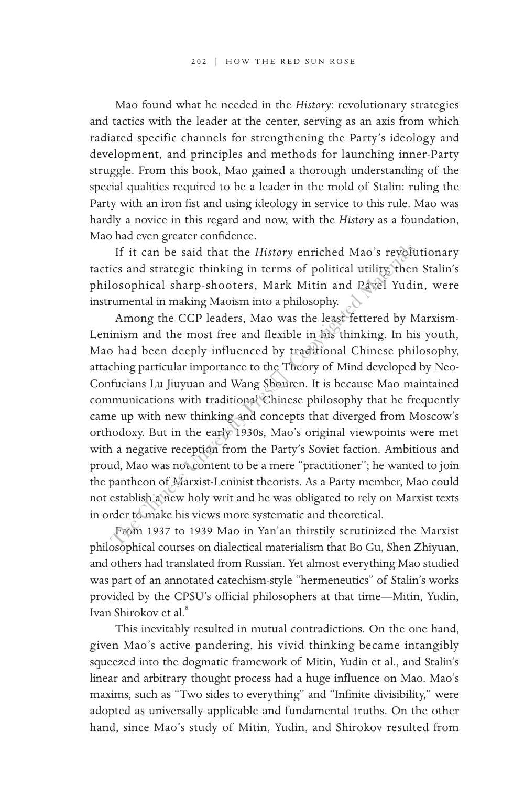Mao found what he needed in the *History*: revolutionary strategies and tactics with the leader at the center, serving as an axis from which radiated specific channels for strengthening the Party's ideology and development, and principles and methods for launching inner-Party struggle. From this book, Mao gained a thorough understanding of the special qualities required to be a leader in the mold of Stalin: ruling the Party with an iron fist and using ideology in service to this rule. Mao was hardly a novice in this regard and now, with the *History* as a foundation, Mao had even greater confidence.

If it can be said that the *History* enriched Mao's revolutionary tactics and strategic thinking in terms of political utility, then Stalin's philosophical sharp-shooters, Mark Mitin and Pavel Yudin, were instrumental in making Maoism into a philosophy.

Among the CCP leaders, Mao was the least fettered by Marxism-Leninism and the most free and flexible in his thinking. In his youth, Mao had been deeply influenced by traditional Chinese philosophy, attaching particular importance to the Theory of Mind developed by Neo-Confucians Lu Jiuyuan and Wang Shouren. It is because Mao maintained communications with traditional Chinese philosophy that he frequently came up with new thinking and concepts that diverged from Moscow's orthodoxy. But in the early 1930s, Mao's original viewpoints were met with a negative reception from the Party's Soviet faction. Ambitious and proud, Mao was not content to be a mere "practitioner"; he wanted to join the pantheon of Marxist-Leninist theorists. As a Party member, Mao could not establish a new holy writ and he was obligated to rely on Marxist texts in order to make his views more systematic and theoretical. If it can be said that the *History* enriched Mao's reveaution<br>ics and strategic thinking in terms of political utility then<br>losophical sharp-shooters, Mark Mitin and Pavel Yudi<br>rumental in making Maoism into a philosophy

From 1937 to 1939 Mao in Yan'an thirstily scrutinized the Marxist philosophical courses on dialectical materialism that Bo Gu, Shen Zhiyuan, and others had translated from Russian. Yet almost everything Mao studied was part of an annotated catechism-style "hermeneutics" of Stalin's works provided by the CPSU's official philosophers at that time—Mitin, Yudin, Ivan Shirokov et al.<sup>8</sup>

This inevitably resulted in mutual contradictions. On the one hand, given Mao's active pandering, his vivid thinking became intangibly squeezed into the dogmatic framework of Mitin, Yudin et al., and Stalin's linear and arbitrary thought process had a huge influence on Mao. Mao's maxims, such as "Two sides to everything" and "Infinite divisibility," were adopted as universally applicable and fundamental truths. On the other hand, since Mao's study of Mitin, Yudin, and Shirokov resulted from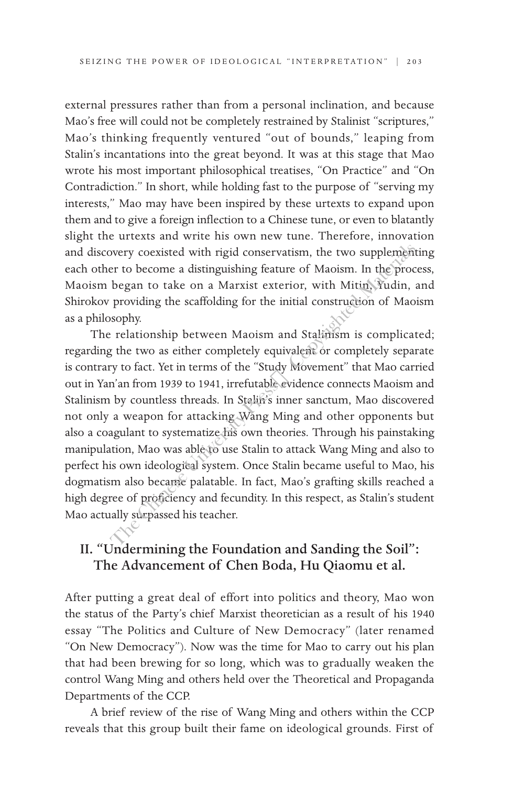external pressures rather than from a personal inclination, and because Mao's free will could not be completely restrained by Stalinist "scriptures," Mao's thinking frequently ventured "out of bounds," leaping from Stalin's incantations into the great beyond. It was at this stage that Mao wrote his most important philosophical treatises, "On Practice" and "On Contradiction." In short, while holding fast to the purpose of "serving my interests," Mao may have been inspired by these urtexts to expand upon them and to give a foreign inflection to a Chinese tune, or even to blatantly slight the urtexts and write his own new tune. Therefore, innovation and discovery coexisted with rigid conservatism, the two supplementing each other to become a distinguishing feature of Maoism. In the process, Maoism began to take on a Marxist exterior, with Mitin, Yudin, and Shirokov providing the scaffolding for the initial construction of Maoism as a philosophy.

The relationship between Maoism and Stalinism is complicated; regarding the two as either completely equivalent or completely separate is contrary to fact. Yet in terms of the "Study Movement" that Mao carried out in Yan'an from 1939 to 1941, irrefutable evidence connects Maoism and Stalinism by countless threads. In Stalin's inner sanctum, Mao discovered not only a weapon for attacking Wang Ming and other opponents but also a coagulant to systematize his own theories. Through his painstaking manipulation, Mao was able to use Stalin to attack Wang Ming and also to perfect his own ideological system. Once Stalin became useful to Mao, his dogmatism also became palatable. In fact, Mao's grafting skills reached a high degree of proficiency and fecundity. In this respect, as Stalin's student Mao actually surpassed his teacher. beyond the metallical and the complement to become a distinguishing feature of Maoism. In the procedure of the procedure of Maoism. In the procedure of the copyright of the mittial construction of Maosophy.<br>
Functionship b

## II. "Undermining the Foundation and Sanding the Soil": The Advancement of Chen Boda, Hu Qiaomu et al.

After putting a great deal of effort into politics and theory, Mao won the status of the Party's chief Marxist theoretician as a result of his 1940 essay "The Politics and Culture of New Democracy" (later renamed "On New Democracy"). Now was the time for Mao to carry out his plan that had been brewing for so long, which was to gradually weaken the control Wang Ming and others held over the Theoretical and Propaganda Departments of the CCP.

A brief review of the rise of Wang Ming and others within the CCP reveals that this group built their fame on ideological grounds. First of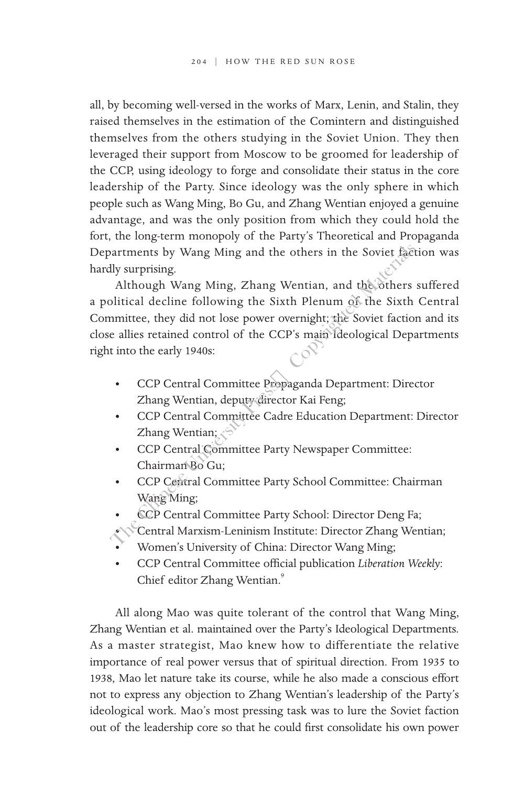all, by becoming well-versed in the works of Marx, Lenin, and Stalin, they raised themselves in the estimation of the Comintern and distinguished themselves from the others studying in the Soviet Union. They then leveraged their support from Moscow to be groomed for leadership of the CCP, using ideology to forge and consolidate their status in the core leadership of the Party. Since ideology was the only sphere in which people such as Wang Ming, Bo Gu, and Zhang Wentian enjoyed a genuine advantage, and was the only position from which they could hold the fort, the long-term monopoly of the Party's Theoretical and Propaganda Departments by Wang Ming and the others in the Soviet faction was hardly surprising.

Although Wang Ming, Zhang Wentian, and the others suffered a political decline following the Sixth Plenum of the Sixth Central Committee, they did not lose power overnight; the Soviet faction and its close allies retained control of the CCP's main Ideological Departments right into the early 1940s: Vang Ming and the others in the Soviet factory<br>
Ily surprising.<br>
Although Wang Ming, Zhang Wentian, and the Sthers<br>
Diltical decline following the Sixth Plenum of the Sixth<br>
Inmittee, they did not lose power overnight; the

- CCP Central Committee Propaganda Department: Director Zhang Wentian, deputy director Kai Feng;
- CCP Central Committee Cadre Education Department: Director Zhang Wentian;
- CCP Central Committee Party Newspaper Committee: Chairman Bo Gu;
- CCP Central Committee Party School Committee: Chairman Wang Ming;
- CCP Central Committee Party School: Director Deng Fa;
- Central Marxism-Leninism Institute: Director Zhang Wentian;
- Women's University of China: Director Wang Ming;
- CCP Central Committee official publication *Liberation Weekly*: Chief editor Zhang Wentian.<sup>9</sup>

All along Mao was quite tolerant of the control that Wang Ming, Zhang Wentian et al. maintained over the Party's Ideological Departments. As a master strategist, Mao knew how to differentiate the relative importance of real power versus that of spiritual direction. From 1935 to 1938, Mao let nature take its course, while he also made a conscious effort not to express any objection to Zhang Wentian's leadership of the Party's ideological work. Mao's most pressing task was to lure the Soviet faction out of the leadership core so that he could first consolidate his own power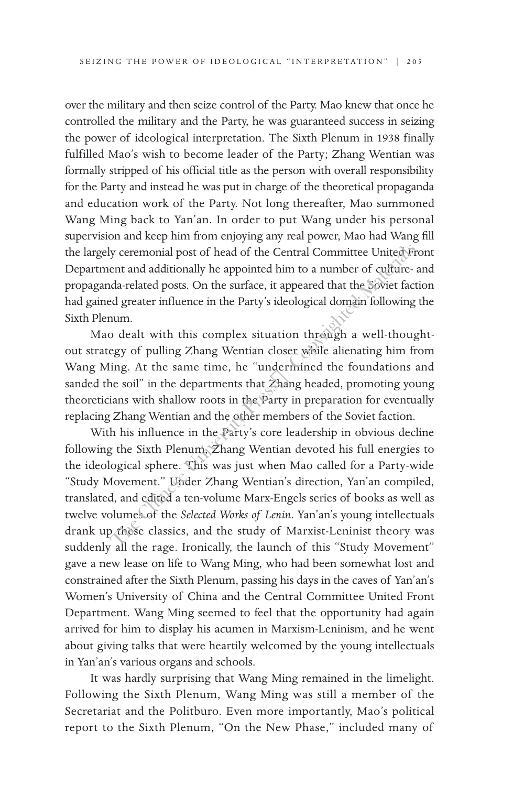over the military and then seize control of the Party. Mao knew that once he controlled the military and the Party, he was guaranteed success in seizing the power of ideological interpretation. The Sixth Plenum in 1938 finally fulfilled Mao's wish to become leader of the Party; Zhang Wentian was formally stripped of his official title as the person with overall responsibility for the Party and instead he was put in charge of the theoretical propaganda and education work of the Party. Not long thereafter, Mao summoned Wang Ming back to Yan'an. In order to put Wang under his personal supervision and keep him from enjoying any real power, Mao had Wang fill the largely ceremonial post of head of the Central Committee United Front Department and additionally he appointed him to a number of culture- and propaganda-related posts. On the surface, it appeared that the Soviet faction had gained greater influence in the Party's ideological domain following the Sixth Plenum.

Mao dealt with this complex situation through a well-thoughtout strategy of pulling Zhang Wentian closer while alienating him from Wang Ming. At the same time, he "undermined the foundations and sanded the soil" in the departments that Zhang headed, promoting young theoreticians with shallow roots in the Party in preparation for eventually replacing Zhang Wentian and the other members of the Soviet faction.

With his influence in the Party's core leadership in obvious decline following the Sixth Plenum, Zhang Wentian devoted his full energies to the ideological sphere. This was just when Mao called for a Party-wide "Study Movement." Under Zhang Wentian's direction, Yan'an compiled, translated, and edited a ten-volume Marx-Engels series of books as well as twelve volumes of the *Selected Works of Lenin*. Yan'an's young intellectuals drank up these classics, and the study of Marxist-Leninist theory was suddenly all the rage. Ironically, the launch of this "Study Movement" gave a new lease on life to Wang Ming, who had been somewhat lost and constrained after the Sixth Plenum, passing his days in the caves of Yan'an's Women's University of China and the Central Committee United Front Department. Wang Ming seemed to feel that the opportunity had again arrived for him to display his acumen in Marxism-Leninism, and he went about giving talks that were heartily welcomed by the young intellectuals in Yan'an's various organs and schools. y ceremonial post of head of the Central Committee United Then the and additionally he appointed him to a number of culture-<br>da-related posts. On the surface, it appeared that the Soviet fact<br>of greater influence in the Pa

It was hardly surprising that Wang Ming remained in the limelight. Following the Sixth Plenum, Wang Ming was still a member of the Secretariat and the Politburo. Even more importantly, Mao's political report to the Sixth Plenum, "On the New Phase," included many of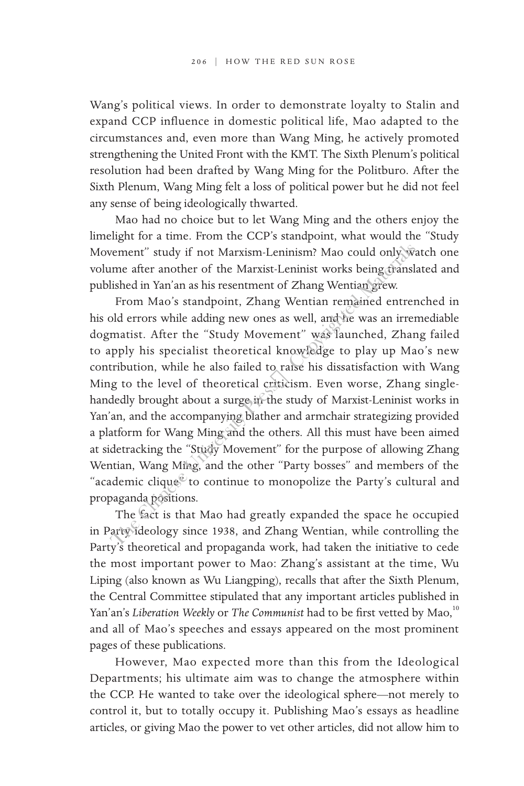Wang's political views. In order to demonstrate loyalty to Stalin and expand CCP influence in domestic political life, Mao adapted to the circumstances and, even more than Wang Ming, he actively promoted strengthening the United Front with the KMT. The Sixth Plenum's political resolution had been drafted by Wang Ming for the Politburo. After the Sixth Plenum, Wang Ming felt a loss of political power but he did not feel any sense of being ideologically thwarted.

Mao had no choice but to let Wang Ming and the others enjoy the limelight for a time. From the CCP's standpoint, what would the "Study Movement" study if not Marxism-Leninism? Mao could only watch one volume after another of the Marxist-Leninist works being translated and published in Yan'an as his resentment of Zhang Wentian grew.

From Mao's standpoint, Zhang Wentian remained entrenched in his old errors while adding new ones as well, and he was an irremediable dogmatist. After the "Study Movement" was launched, Zhang failed to apply his specialist theoretical knowledge to play up Mao's new contribution, while he also failed to raise his dissatisfaction with Wang Ming to the level of theoretical criticism. Even worse, Zhang singlehandedly brought about a surge in the study of Marxist-Leninist works in Yan'an, and the accompanying blather and armchair strategizing provided a platform for Wang Ming and the others. All this must have been aimed at sidetracking the "Study Movement" for the purpose of allowing Zhang Wentian, Wang Ming, and the other "Party bosses" and members of the "academic clique to continue to monopolize the Party's cultural and propaganda positions. vement" study if not Marxism-Leninism? Mao could only with<br>the after another of the Marxist-Leninist works being chand<br>lished in Yan'an as his resentment of Zhang Wentian grew.<br>From Mao's standpoint, Zhang Wentian remained

The fact is that Mao had greatly expanded the space he occupied in Party ideology since 1938, and Zhang Wentian, while controlling the Party's theoretical and propaganda work, had taken the initiative to cede the most important power to Mao: Zhang's assistant at the time, Wu Liping (also known as Wu Liangping), recalls that after the Sixth Plenum, the Central Committee stipulated that any important articles published in Yan'an's *Liberation Weekly* or *The Communist* had to be first vetted by Mao,<sup>10</sup> and all of Mao's speeches and essays appeared on the most prominent pages of these publications.

However, Mao expected more than this from the Ideological Departments; his ultimate aim was to change the atmosphere within the CCP. He wanted to take over the ideological sphere—not merely to control it, but to totally occupy it. Publishing Mao's essays as headline articles, or giving Mao the power to vet other articles, did not allow him to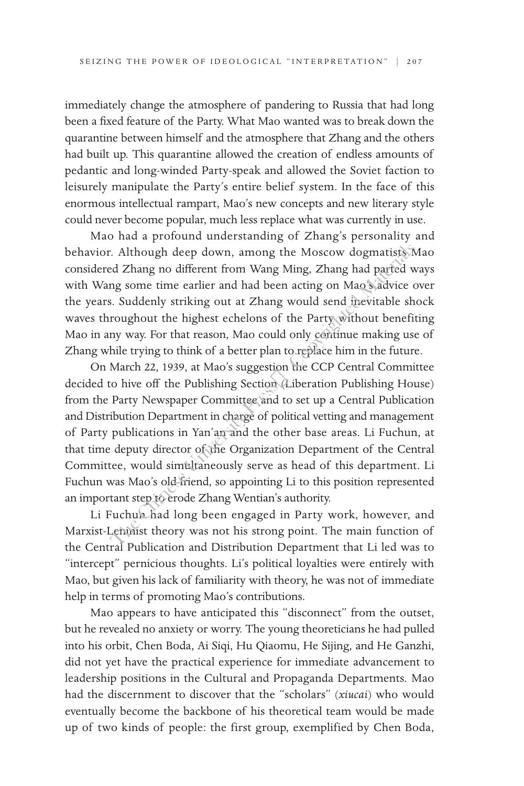immediately change the atmosphere of pandering to Russia that had long been a fixed feature of the Party. What Mao wanted was to break down the quarantine between himself and the atmosphere that Zhang and the others had built up. This quarantine allowed the creation of endless amounts of pedantic and long-winded Party-speak and allowed the Soviet faction to leisurely manipulate the Party's entire belief system. In the face of this enormous intellectual rampart, Mao's new concepts and new literary style could never become popular, much less replace what was currently in use.

Mao had a profound understanding of Zhang's personality and behavior. Although deep down, among the Moscow dogmatists Mao considered Zhang no different from Wang Ming, Zhang had parted ways with Wang some time earlier and had been acting on Mao's advice over the years. Suddenly striking out at Zhang would send inevitable shock waves throughout the highest echelons of the Party without benefiting Mao in any way. For that reason, Mao could only continue making use of Zhang while trying to think of a better plan to replace him in the future.

On March 22, 1939, at Mao's suggestion the CCP Central Committee decided to hive off the Publishing Section (Liberation Publishing House) from the Party Newspaper Committee and to set up a Central Publication and Distribution Department in charge of political vetting and management of Party publications in Yan'an and the other base areas. Li Fuchun, at that time deputy director of the Organization Department of the Central Committee, would simultaneously serve as head of this department. Li Fuchun was Mao's old friend, so appointing Li to this position represented an important step to erode Zhang Wentian's authority. The Chinese Hown, among the Moscow dogmatists and Zhang no different from Wang Ming, Zhang had parted wang some time earlier and had been acting on Mao Sadvice c s. Suddenly striking out at Zhang would send mevitable sh ro

Li Fuchun had long been engaged in Party work, however, and Marxist-Leninist theory was not his strong point. The main function of the Central Publication and Distribution Department that Li led was to "intercept" pernicious thoughts. Li's political loyalties were entirely with Mao, but given his lack of familiarity with theory, he was not of immediate help in terms of promoting Mao's contributions.

Mao appears to have anticipated this "disconnect" from the outset, but he revealed no anxiety or worry. The young theoreticians he had pulled into his orbit, Chen Boda, Ai Siqi, Hu Qiaomu, He Sijing, and He Ganzhi, did not yet have the practical experience for immediate advancement to leadership positions in the Cultural and Propaganda Departments. Mao had the discernment to discover that the "scholars" (*xiucai*) who would eventually become the backbone of his theoretical team would be made up of two kinds of people: the first group, exemplified by Chen Boda,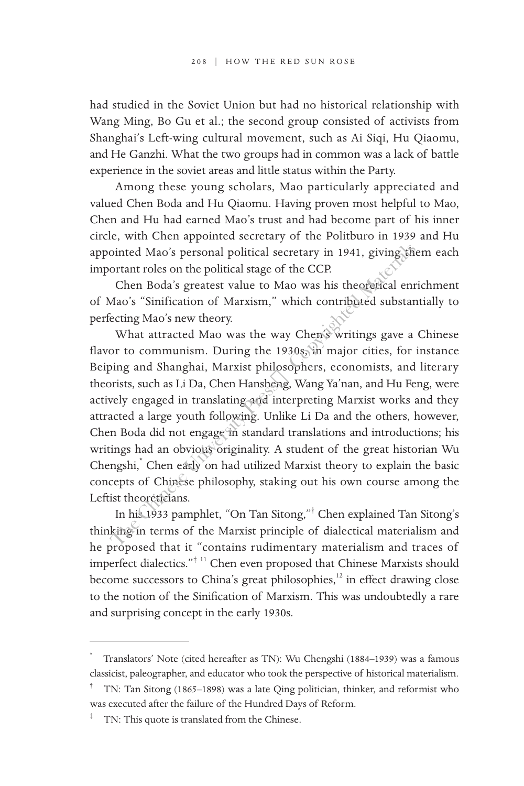had studied in the Soviet Union but had no historical relationship with Wang Ming, Bo Gu et al.; the second group consisted of activists from Shanghai's Left-wing cultural movement, such as Ai Siqi, Hu Qiaomu, and He Ganzhi. What the two groups had in common was a lack of battle experience in the soviet areas and little status within the Party.

Among these young scholars, Mao particularly appreciated and valued Chen Boda and Hu Qiaomu. Having proven most helpful to Mao, Chen and Hu had earned Mao's trust and had become part of his inner circle, with Chen appointed secretary of the Politburo in 1939 and Hu appointed Mao's personal political secretary in 1941, giving them each important roles on the political stage of the CCP.

Chen Boda's greatest value to Mao was his theoretical enrichment of Mao's "Sinification of Marxism," which contributed substantially to perfecting Mao's new theory.

What attracted Mao was the way Chen's writings gave a Chinese flavor to communism. During the 1930s, in major cities, for instance Beiping and Shanghai, Marxist philosophers, economists, and literary theorists, such as Li Da, Chen Hansheng, Wang Ya'nan, and Hu Feng, were actively engaged in translating and interpreting Marxist works and they attracted a large youth following. Unlike Li Da and the others, however, Chen Boda did not engage in standard translations and introductions; his writings had an obvious originality. A student of the great historian Wu Chengshi,\* Chen early on had utilized Marxist theory to explain the basic concepts of Chinese philosophy, staking out his own course among the Leftist theoreticians. ointed Mao's personal political secretary in 1941, giving the order of the CCP.<br>
Chen Boda's greatest value to Mao was his theoretical enrols of "Sinification of Marxism," which contributed substar<br>
ecting Mao's new theory

In his 1933 pamphlet, "On Tan Sitong,"† Chen explained Tan Sitong's thinking in terms of the Marxist principle of dialectical materialism and he proposed that it "contains rudimentary materialism and traces of imperfect dialectics."<sup>‡ 11</sup> Chen even proposed that Chinese Marxists should become successors to China's great philosophies,<sup>12</sup> in effect drawing close to the notion of the Sinification of Marxism. This was undoubtedly a rare and surprising concept in the early 1930s.

Translators' Note (cited hereafter as TN): Wu Chengshi (1884-1939) was a famous classicist, paleographer, and educator who took the perspective of historical materialism.

<sup>†</sup> TN: Tan Sitong (1865‒1898) was a late Qing politician, thinker, and reformist who was executed after the failure of the Hundred Days of Reform.

<sup>&</sup>lt;sup>‡</sup> TN: This quote is translated from the Chinese.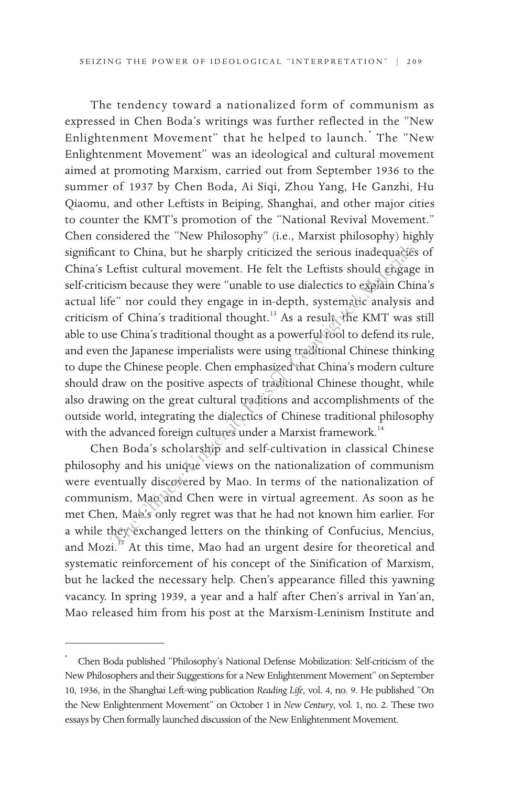The tendency toward a nationalized form of communism as expressed in Chen Boda's writings was further reflected in the "New Enlightenment Movement" that he helped to launch. \* The "New Enlightenment Movement" was an ideological and cultural movement aimed at promoting Marxism, carried out from September 1936 to the summer of 1937 by Chen Boda, Ai Siqi, Zhou Yang, He Ganzhi, Hu Qiaomu, and other Leftists in Beiping, Shanghai, and other major cities to counter the KMT's promotion of the "National Revival Movement." Chen considered the "New Philosophy" (i.e., Marxist philosophy) highly significant to China, but he sharply criticized the serious inadequacies of China's Leftist cultural movement. He felt the Leftists should engage in self-criticism because they were "unable to use dialectics to explain China's actual life" nor could they engage in in-depth, systematic analysis and criticism of China's traditional thought.<sup>13</sup> As a result, the KMT was still able to use China's traditional thought as a powerful tool to defend its rule, and even the Japanese imperialists were using traditional Chinese thinking to dupe the Chinese people. Chen emphasized that China's modern culture should draw on the positive aspects of traditional Chinese thought, while also drawing on the great cultural traditions and accomplishments of the outside world, integrating the dialectics of Chinese traditional philosophy with the advanced foreign cultures under a Marxist framework.<sup>14</sup> It to China, but he sharply criticized the serious inadequagies<br>Leftist cultural movement. He felt the Leftists should engage<br>ism because they were "unable to use dialectics to explain Chi<br>e" nor could they engage in in-d

Chen Boda's scholarship and self-cultivation in classical Chinese philosophy and his unique views on the nationalization of communism were eventually discovered by Mao. In terms of the nationalization of communism, Mao and Chen were in virtual agreement. As soon as he met Chen, Mae's only regret was that he had not known him earlier. For a while they exchanged letters on the thinking of Confucius, Mencius, and Mozi.<sup>15</sup> At this time, Mao had an urgent desire for theoretical and systematic reinforcement of his concept of the Sinification of Marxism, but he lacked the necessary help. Chen's appearance filled this yawning vacancy. In spring 1939, a year and a half after Chen's arrival in Yan'an, Mao released him from his post at the Marxism-Leninism Institute and

<sup>\*</sup> Chen Boda published "Philosophy's National Defense Mobilization: Self-criticism of the New Philosophers and their Suggestions for a New Enlightenment Movement" on September 10, 1936, in the Shanghai Left-wing publication *Reading Life*, vol. 4, no. 9. He published "On the New Enlightenment Movement" on October 1 in *New Century*, vol. 1, no. 2. These two essays by Chen formally launched discussion of the New Enlightenment Movement.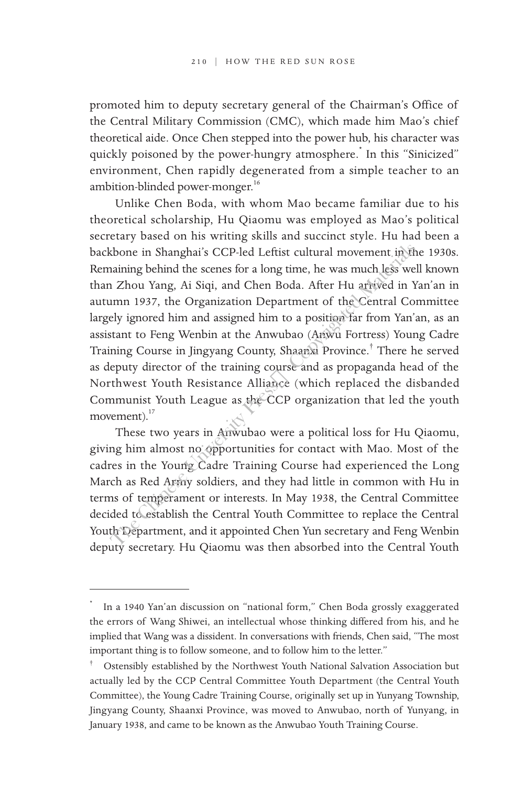promoted him to deputy secretary general of the Chairman's Office of the Central Military Commission (CMC), which made him Mao's chief theoretical aide. Once Chen stepped into the power hub, his character was quickly poisoned by the power-hungry atmosphere.<sup>\*</sup> In this "Sinicized" environment, Chen rapidly degenerated from a simple teacher to an ambition-blinded power-monger.<sup>16</sup>

Unlike Chen Boda, with whom Mao became familiar due to his theoretical scholarship, Hu Qiaomu was employed as Mao's political secretary based on his writing skills and succinct style. Hu had been a backbone in Shanghai's CCP-led Leftist cultural movement in the 1930s. Remaining behind the scenes for a long time, he was much less well known than Zhou Yang, Ai Siqi, and Chen Boda. After Hu arrived in Yan'an in autumn 1937, the Organization Department of the Central Committee largely ignored him and assigned him to a position far from Yan'an, as an assistant to Feng Wenbin at the Anwubao (Anwu Fortress) Young Cadre Training Course in Jingyang County, Shaanxi Province.† There he served as deputy director of the training course and as propaganda head of the Northwest Youth Resistance Alliance (which replaced the disbanded Communist Youth League as the CCP organization that led the youth movement).<sup>17</sup> the Chinese in Shanghai's CCP-led Leftist cultural movement in the classion and the scenes for a long time, he was much less we a Zhou Yang, Ai Siqi, and Chen Boda. After Hu artived in Yumn 1937, the Organization Departmen

These two years in Anwubao were a political loss for Hu Qiaomu, giving him almost no opportunities for contact with Mao. Most of the cadres in the Young Cadre Training Course had experienced the Long March as Red Army soldiers, and they had little in common with Hu in terms of temperament or interests. In May 1938, the Central Committee decided to establish the Central Youth Committee to replace the Central Youth Department, and it appointed Chen Yun secretary and Feng Wenbin deputy secretary. Hu Qiaomu was then absorbed into the Central Youth

In a 1940 Yan'an discussion on "national form," Chen Boda grossly exaggerated the errors of Wang Shiwei, an intellectual whose thinking differed from his, and he implied that Wang was a dissident. In conversations with friends, Chen said, "The most important thing is to follow someone, and to follow him to the letter."

<sup>†</sup> Ostensibly established by the Northwest Youth National Salvation Association but actually led by the CCP Central Committee Youth Department (the Central Youth Committee), the Young Cadre Training Course, originally set up in Yunyang Township, Jingyang County, Shaanxi Province, was moved to Anwubao, north of Yunyang, in January 1938, and came to be known as the Anwubao Youth Training Course.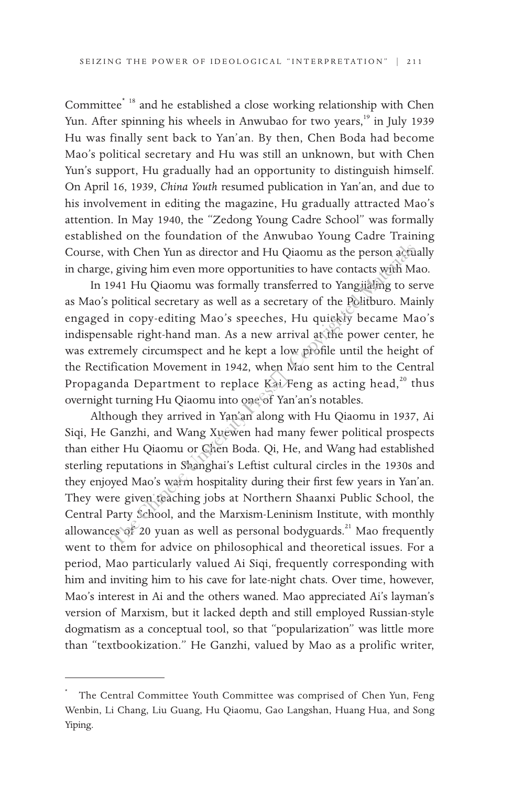Committee<sup>\* 18</sup> and he established a close working relationship with Chen Yun. After spinning his wheels in Anwubao for two years,<sup>19</sup> in July 1939 Hu was finally sent back to Yan'an. By then, Chen Boda had become Mao's political secretary and Hu was still an unknown, but with Chen Yun's support, Hu gradually had an opportunity to distinguish himself. On April 16, 1939, *China Youth* resumed publication in Yan'an, and due to his involvement in editing the magazine, Hu gradually attracted Mao's attention. In May 1940, the "Zedong Young Cadre School" was formally established on the foundation of the Anwubao Young Cadre Training Course, with Chen Yun as director and Hu Qiaomu as the person actually in charge, giving him even more opportunities to have contacts with Mao.

In 1941 Hu Qiaomu was formally transferred to Yangjialing to serve as Mao's political secretary as well as a secretary of the Politburo. Mainly engaged in copy-editing Mao's speeches, Hu quickly became Mao's indispensable right-hand man. As a new arrival at the power center, he was extremely circumspect and he kept a low profile until the height of the Rectification Movement in 1942, when Niao sent him to the Central Propaganda Department to replace Kai Feng as acting head,<sup>20</sup> thus overnight turning Hu Qiaomu into one of Yan'an's notables.

Although they arrived in Yan'an along with Hu Qiaomu in 1937, Ai Siqi, He Ganzhi, and Wang Xuewen had many fewer political prospects than either Hu Qiaomu or Chen Boda. Qi, He, and Wang had established sterling reputations in Shanghai's Leftist cultural circles in the 1930s and they enjoyed Mao's warm hospitality during their first few years in Yan'an. They were given teaching jobs at Northern Shaanxi Public School, the Central Party School, and the Marxism-Leninism Institute, with monthly allowances of 20 yuan as well as personal bodyguards.<sup>21</sup> Mao frequently went to them for advice on philosophical and theoretical issues. For a period, Mao particularly valued Ai Siqi, frequently corresponding with him and inviting him to his cave for late-night chats. Over time, however, Mao's interest in Ai and the others waned. Mao appreciated Ai's layman's version of Marxism, but it lacked depth and still employed Russian-style dogmatism as a conceptual tool, so that "popularization" was little more than "textbookization." He Ganzhi, valued by Mao as a prolific writer, with Chen Yun as director and Hu Qiaomu as the person action, giving him even more opportunities to have contacts with M<br>941 Hu Qiaomu was formally transferred to Yangjialing to se<br>political secretary as well as a secretar

The Central Committee Youth Committee was comprised of Chen Yun, Feng Wenbin, Li Chang, Liu Guang, Hu Qiaomu, Gao Langshan, Huang Hua, and Song Yiping.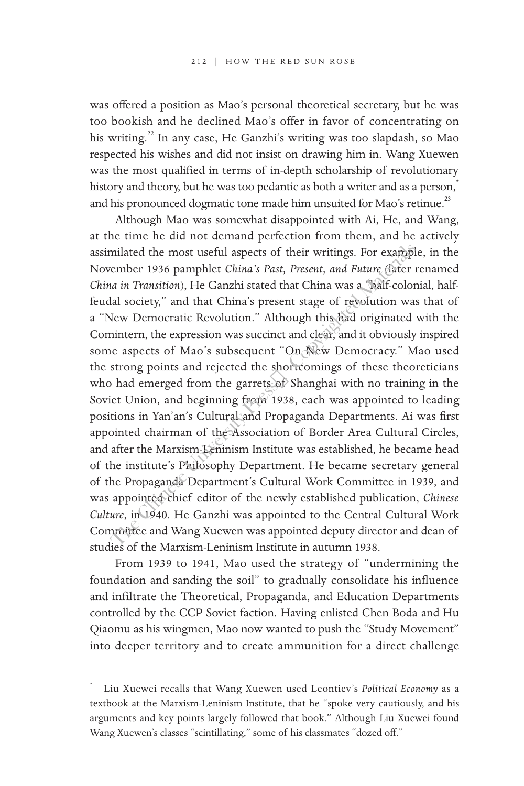was offered a position as Mao's personal theoretical secretary, but he was too bookish and he declined Mao's offer in favor of concentrating on his writing.<sup>22</sup> In any case, He Ganzhi's writing was too slapdash, so Mao respected his wishes and did not insist on drawing him in. Wang Xuewen was the most qualified in terms of in-depth scholarship of revolutionary history and theory, but he was too pedantic as both a writer and as a person,<sup>\*</sup> and his pronounced dogmatic tone made him unsuited for Mao's retinue.<sup>23</sup>

Although Mao was somewhat disappointed with Ai, He, and Wang, at the time he did not demand perfection from them, and he actively assimilated the most useful aspects of their writings. For example, in the November 1936 pamphlet *China's Past, Present, and Future* (later renamed *China in Transition*), He Ganzhi stated that China was a "half-colonial, halffeudal society," and that China's present stage of revolution was that of a "New Democratic Revolution." Although this had originated with the Comintern, the expression was succinct and clear, and it obviously inspired some aspects of Mao's subsequent "On New Democracy." Mao used the strong points and rejected the shortcomings of these theoreticians who had emerged from the garrets of Shanghai with no training in the Soviet Union, and beginning from 1938, each was appointed to leading positions in Yan'an's Cultural and Propaganda Departments. Ai was first appointed chairman of the Association of Border Area Cultural Circles, and after the Marxism-Leninism Institute was established, he became head of the institute's Philosophy Department. He became secretary general of the Propaganda Department's Cultural Work Committee in 1939, and was appointed chief editor of the newly established publication, *Chinese Culture*, in 1940. He Ganzhi was appointed to the Central Cultural Work Committee and Wang Xuewen was appointed deputy director and dean of studies of the Marxism-Leninism Institute in autumn 1938. milated the most useful aspects of their writings. For examplember 1936 pamphlet *China's Past*, *Present, and Future* (fater *ia in Transition*), He Ganzhi stated that China was a Walf-color dal society," and that China's

From 1939 to 1941, Mao used the strategy of "undermining the foundation and sanding the soil" to gradually consolidate his influence and infiltrate the Theoretical, Propaganda, and Education Departments controlled by the CCP Soviet faction. Having enlisted Chen Boda and Hu Qiaomu as his wingmen, Mao now wanted to push the "Study Movement" into deeper territory and to create ammunition for a direct challenge

<sup>\*</sup> Liu Xuewei recalls that Wang Xuewen used Leontiev's *Political Economy* as a textbook at the Marxism-Leninism Institute, that he "spoke very cautiously, and his arguments and key points largely followed that book." Although Liu Xuewei found Wang Xuewen's classes "scintillating," some of his classmates "dozed off."